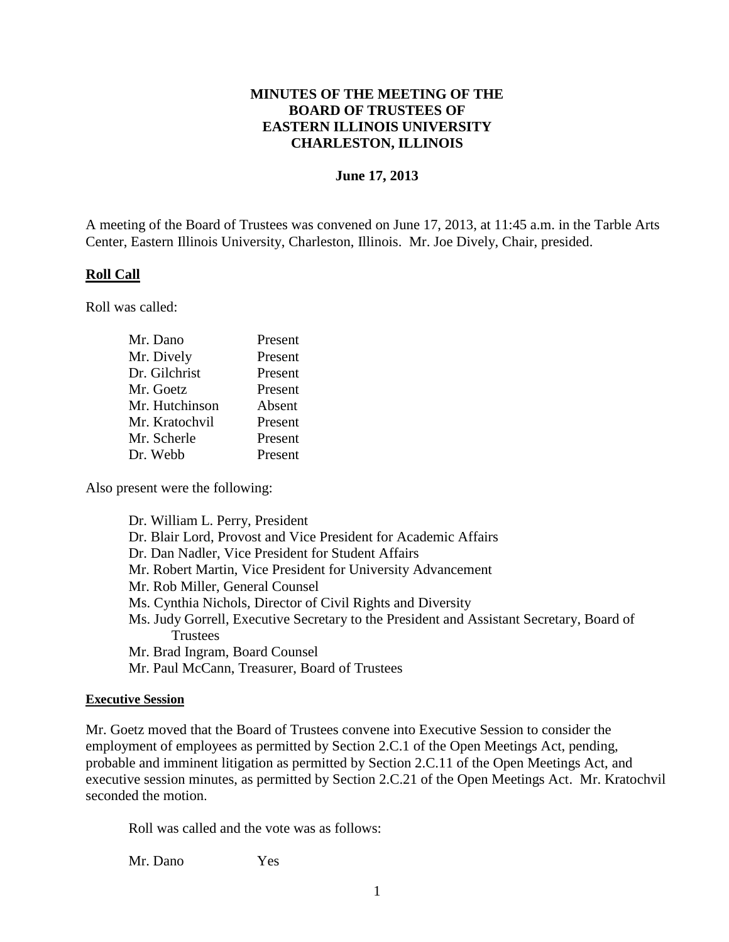# **MINUTES OF THE MEETING OF THE BOARD OF TRUSTEES OF EASTERN ILLINOIS UNIVERSITY CHARLESTON, ILLINOIS**

#### **June 17, 2013**

A meeting of the Board of Trustees was convened on June 17, 2013, at 11:45 a.m. in the Tarble Arts Center, Eastern Illinois University, Charleston, Illinois. Mr. Joe Dively, Chair, presided.

### **Roll Call**

Roll was called:

| Mr. Dano       | Present |
|----------------|---------|
| Mr. Dively     | Present |
| Dr. Gilchrist  | Present |
| Mr. Goetz      | Present |
| Mr. Hutchinson | Absent  |
| Mr. Kratochvil | Present |
| Mr. Scherle    | Present |
| Dr. Webb       | Present |

Also present were the following:

Dr. William L. Perry, President Dr. Blair Lord, Provost and Vice President for Academic Affairs Dr. Dan Nadler, Vice President for Student Affairs Mr. Robert Martin, Vice President for University Advancement Mr. Rob Miller, General Counsel Ms. Cynthia Nichols, Director of Civil Rights and Diversity Ms. Judy Gorrell, Executive Secretary to the President and Assistant Secretary, Board of **Trustees** Mr. Brad Ingram, Board Counsel Mr. Paul McCann, Treasurer, Board of Trustees

#### **Executive Session**

Mr. Goetz moved that the Board of Trustees convene into Executive Session to consider the employment of employees as permitted by Section 2.C.1 of the Open Meetings Act, pending, probable and imminent litigation as permitted by Section 2.C.11 of the Open Meetings Act, and executive session minutes, as permitted by Section 2.C.21 of the Open Meetings Act. Mr. Kratochvil seconded the motion.

Roll was called and the vote was as follows:

Mr. Dano Yes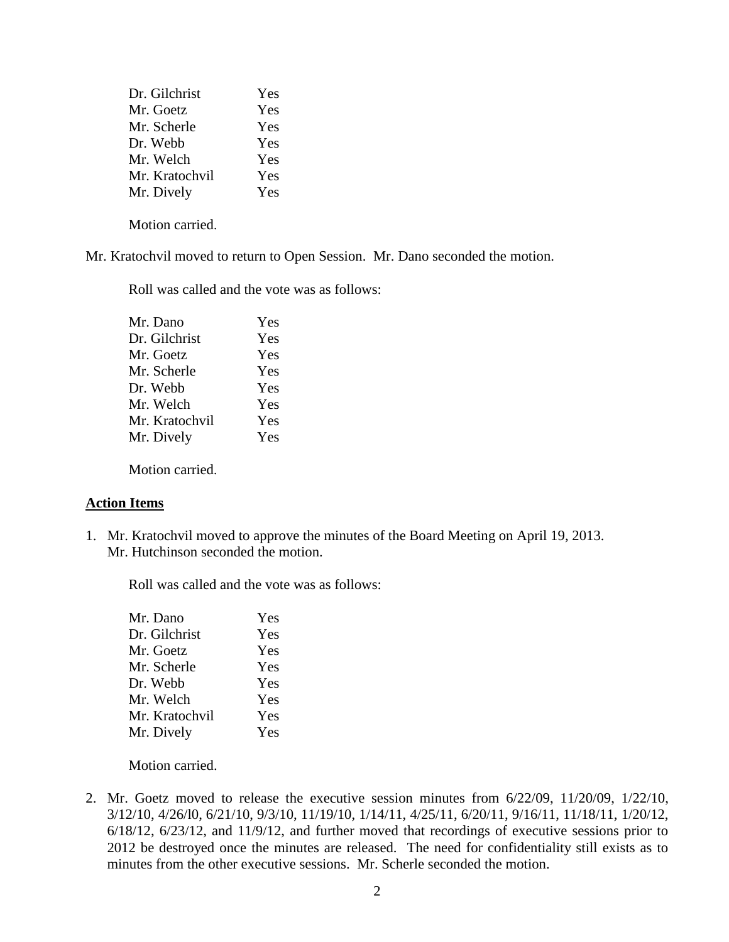| Dr. Gilchrist  | Yes |
|----------------|-----|
| Mr. Goetz      | Yes |
| Mr. Scherle    | Yes |
| Dr. Webb       | Yes |
| Mr. Welch      | Yes |
| Mr. Kratochvil | Yes |
| Mr. Dively     | Yes |

Motion carried.

Mr. Kratochvil moved to return to Open Session. Mr. Dano seconded the motion.

Roll was called and the vote was as follows:

| Mr. Dano       | Yes |
|----------------|-----|
| Dr. Gilchrist  | Yes |
| Mr. Goetz      | Yes |
| Mr. Scherle    | Yes |
| Dr. Webb       | Yes |
| Mr. Welch      | Yes |
| Mr. Kratochvil | Yes |
| Mr. Dively     | Yes |
|                |     |

Motion carried.

### **Action Items**

1. Mr. Kratochvil moved to approve the minutes of the Board Meeting on April 19, 2013. Mr. Hutchinson seconded the motion.

Roll was called and the vote was as follows:

| Mr. Dano       | Yes |
|----------------|-----|
| Dr. Gilchrist  | Yes |
| Mr. Goetz      | Yes |
| Mr. Scherle    | Yes |
| Dr. Webb       | Yes |
| Mr. Welch      | Yes |
| Mr. Kratochvil | Yes |
| Mr. Dively     | Yes |
|                |     |

Motion carried.

2. Mr. Goetz moved to release the executive session minutes from 6/22/09, 11/20/09, 1/22/10, 3/12/10, 4/26/l0, 6/21/10, 9/3/10, 11/19/10, 1/14/11, 4/25/11, 6/20/11, 9/16/11, 11/18/11, 1/20/12, 6/18/12, 6/23/12, and 11/9/12, and further moved that recordings of executive sessions prior to 2012 be destroyed once the minutes are released. The need for confidentiality still exists as to minutes from the other executive sessions. Mr. Scherle seconded the motion.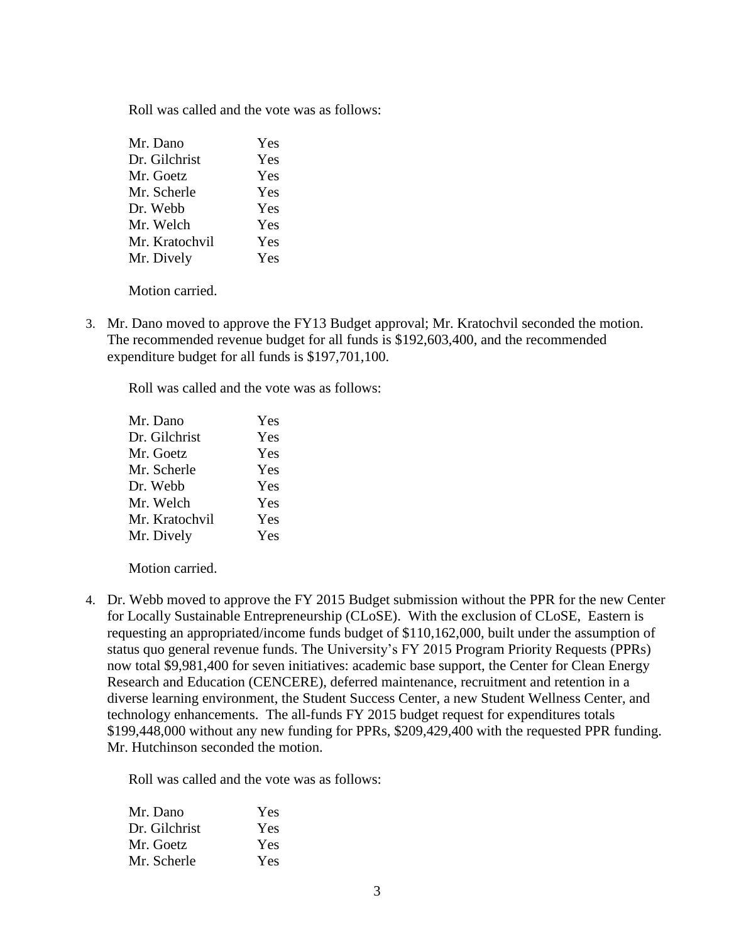Roll was called and the vote was as follows:

| Yes |
|-----|
| Yes |
| Yes |
| Yes |
| Yes |
| Yes |
| Yes |
| Yes |
|     |

Motion carried.

3. Mr. Dano moved to approve the FY13 Budget approval; Mr. Kratochvil seconded the motion. The recommended revenue budget for all funds is \$192,603,400, and the recommended expenditure budget for all funds is \$197,701,100.

Roll was called and the vote was as follows:

| Mr. Dano       | Yes |
|----------------|-----|
| Dr. Gilchrist  | Yes |
| Mr. Goetz      | Yes |
| Mr. Scherle    | Yes |
| Dr. Webb       | Yes |
| Mr. Welch      | Yes |
| Mr. Kratochvil | Yes |
| Mr. Dively     | Yes |
|                |     |

Motion carried.

4. Dr. Webb moved to approve the FY 2015 Budget submission without the PPR for the new Center for Locally Sustainable Entrepreneurship (CLoSE). With the exclusion of CLoSE, Eastern is requesting an appropriated/income funds budget of \$110,162,000, built under the assumption of status quo general revenue funds. The University's FY 2015 Program Priority Requests (PPRs) now total \$9,981,400 for seven initiatives: academic base support, the Center for Clean Energy Research and Education (CENCERE), deferred maintenance, recruitment and retention in a diverse learning environment, the Student Success Center, a new Student Wellness Center, and technology enhancements. The all-funds FY 2015 budget request for expenditures totals \$199,448,000 without any new funding for PPRs, \$209,429,400 with the requested PPR funding. Mr. Hutchinson seconded the motion.

| Mr. Dano      | Yes |
|---------------|-----|
| Dr. Gilchrist | Yes |
| Mr. Goetz     | Yes |
| Mr. Scherle   | Yes |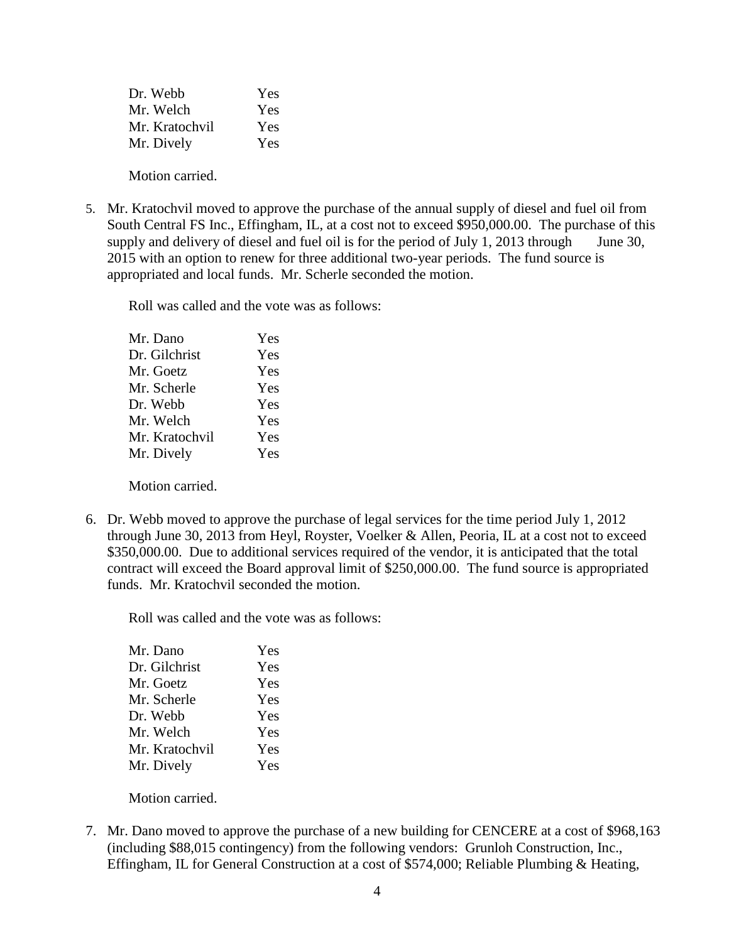| Dr. Webb       | Yes |
|----------------|-----|
| Mr. Welch      | Yes |
| Mr. Kratochvil | Yes |
| Mr. Dively     | Yes |
|                |     |

Motion carried.

5. Mr. Kratochvil moved to approve the purchase of the annual supply of diesel and fuel oil from South Central FS Inc., Effingham, IL, at a cost not to exceed \$950,000.00. The purchase of this supply and delivery of diesel and fuel oil is for the period of July 1, 2013 through June 30, 2015 with an option to renew for three additional two-year periods. The fund source is appropriated and local funds. Mr. Scherle seconded the motion.

Roll was called and the vote was as follows:

| Mr. Dano       | Yes |
|----------------|-----|
| Dr. Gilchrist  | Yes |
| Mr. Goetz      | Yes |
| Mr. Scherle    | Yes |
| Dr. Webb       | Yes |
| Mr. Welch      | Yes |
| Mr. Kratochvil | Yes |
| Mr. Dively     | Yes |
|                |     |

Motion carried.

6. Dr. Webb moved to approve the purchase of legal services for the time period July 1, 2012 through June 30, 2013 from Heyl, Royster, Voelker & Allen, Peoria, IL at a cost not to exceed \$350,000.00. Due to additional services required of the vendor, it is anticipated that the total contract will exceed the Board approval limit of \$250,000.00. The fund source is appropriated funds. Mr. Kratochvil seconded the motion.

Roll was called and the vote was as follows:

| Mr. Dano       | Yes |
|----------------|-----|
| Dr. Gilchrist  | Yes |
| Mr. Goetz      | Yes |
| Mr. Scherle    | Yes |
| Dr. Webb       | Yes |
| Mr. Welch      | Yes |
| Mr. Kratochvil | Yes |
| Mr. Dively     | Yes |
|                |     |

Motion carried.

7. Mr. Dano moved to approve the purchase of a new building for CENCERE at a cost of \$968,163 (including \$88,015 contingency) from the following vendors: Grunloh Construction, Inc., Effingham, IL for General Construction at a cost of \$574,000; Reliable Plumbing & Heating,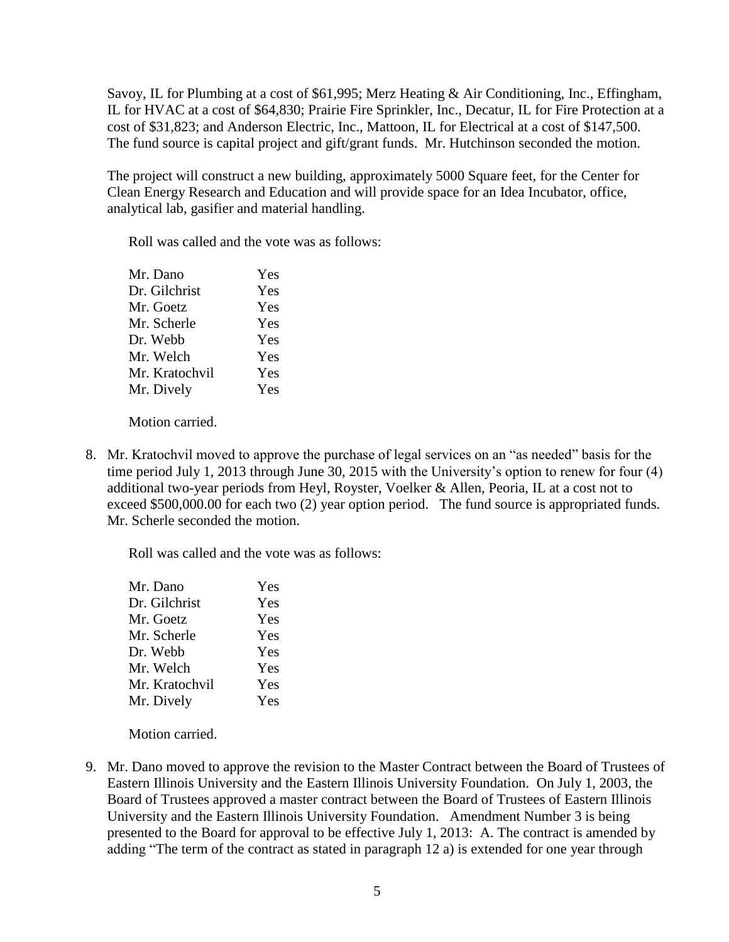Savoy, IL for Plumbing at a cost of \$61,995; Merz Heating & Air Conditioning, Inc., Effingham, IL for HVAC at a cost of \$64,830; Prairie Fire Sprinkler, Inc., Decatur, IL for Fire Protection at a cost of \$31,823; and Anderson Electric, Inc., Mattoon, IL for Electrical at a cost of \$147,500. The fund source is capital project and gift/grant funds. Mr. Hutchinson seconded the motion.

The project will construct a new building, approximately 5000 Square feet, for the Center for Clean Energy Research and Education and will provide space for an Idea Incubator, office, analytical lab, gasifier and material handling.

Roll was called and the vote was as follows:

| Mr. Dano       | Yes |
|----------------|-----|
| Dr. Gilchrist  | Yes |
| Mr. Goetz      | Yes |
| Mr. Scherle    | Yes |
| Dr. Webb       | Yes |
| Mr. Welch      | Yes |
| Mr. Kratochvil | Yes |
| Mr. Dively     | Yes |
|                |     |

Motion carried.

8. Mr. Kratochvil moved to approve the purchase of legal services on an "as needed" basis for the time period July 1, 2013 through June 30, 2015 with the University's option to renew for four (4) additional two-year periods from Heyl, Royster, Voelker & Allen, Peoria, IL at a cost not to exceed \$500,000.00 for each two (2) year option period. The fund source is appropriated funds. Mr. Scherle seconded the motion.

Roll was called and the vote was as follows:

| Mr. Dano       | Yes |
|----------------|-----|
| Dr. Gilchrist  | Yes |
| Mr. Goetz      | Yes |
| Mr. Scherle    | Yes |
| Dr. Webb       | Yes |
| Mr. Welch      | Yes |
| Mr. Kratochvil | Yes |
| Mr. Dively     | Yes |
|                |     |

Motion carried.

9. Mr. Dano moved to approve the revision to the Master Contract between the Board of Trustees of Eastern Illinois University and the Eastern Illinois University Foundation. On July 1, 2003, the Board of Trustees approved a master contract between the Board of Trustees of Eastern Illinois University and the Eastern Illinois University Foundation. Amendment Number 3 is being presented to the Board for approval to be effective July 1, 2013: A. The contract is amended by adding "The term of the contract as stated in paragraph 12 a) is extended for one year through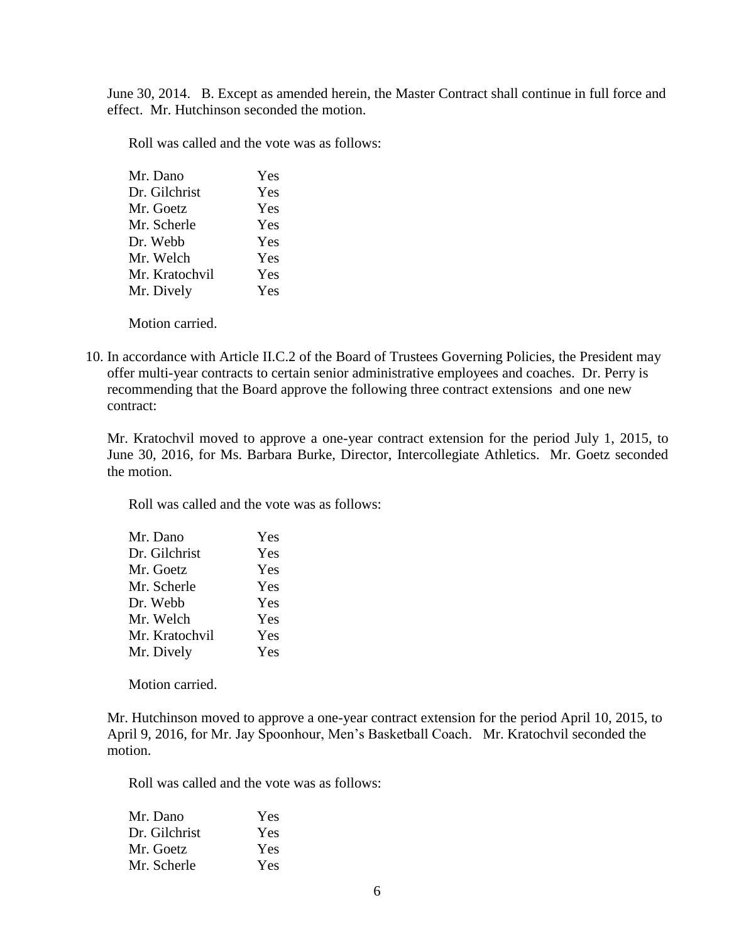June 30, 2014. B. Except as amended herein, the Master Contract shall continue in full force and effect. Mr. Hutchinson seconded the motion.

Roll was called and the vote was as follows:

| Mr. Dano       | Yes |
|----------------|-----|
| Dr. Gilchrist  | Yes |
| Mr. Goetz      | Yes |
| Mr. Scherle    | Yes |
| Dr. Webb       | Yes |
| Mr. Welch      | Yes |
| Mr. Kratochvil | Yes |
| Mr. Dively     | Yes |
|                |     |

Motion carried.

10. In accordance with Article II.C.2 of the Board of Trustees Governing Policies, the President may offer multi-year contracts to certain senior administrative employees and coaches. Dr. Perry is recommending that the Board approve the following three contract extensions and one new contract:

Mr. Kratochvil moved to approve a one-year contract extension for the period July 1, 2015, to June 30, 2016, for Ms. Barbara Burke, Director, Intercollegiate Athletics. Mr. Goetz seconded the motion.

Roll was called and the vote was as follows:

| Mr. Dano       | Yes |
|----------------|-----|
| Dr. Gilchrist  | Yes |
| Mr. Goetz      | Yes |
| Mr. Scherle    | Yes |
| Dr. Webb       | Yes |
| Mr. Welch      | Yes |
| Mr. Kratochvil | Yes |
| Mr. Dively     | Yes |
|                |     |

Motion carried.

Mr. Hutchinson moved to approve a one-year contract extension for the period April 10, 2015, to April 9, 2016, for Mr. Jay Spoonhour, Men's Basketball Coach. Mr. Kratochvil seconded the motion.

| Mr. Dano      | Yes |
|---------------|-----|
| Dr. Gilchrist | Yes |
| Mr. Goetz     | Yes |
| Mr. Scherle   | Yes |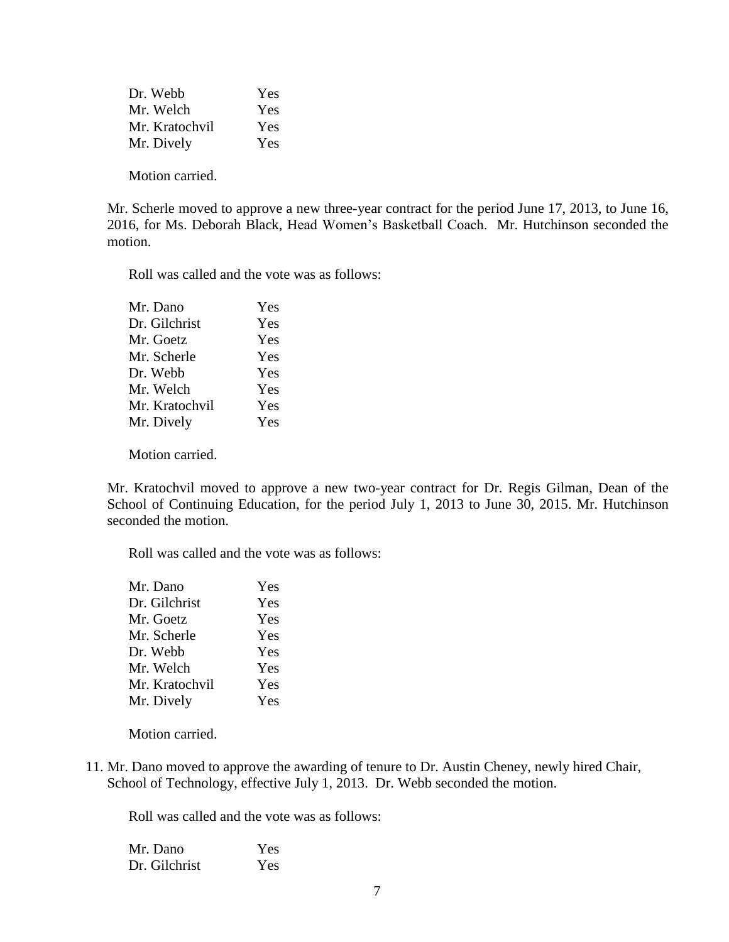Dr. Webb Yes Mr. Welch Yes Mr. Kratochvil Yes Mr. Dively Yes

Motion carried.

Mr. Scherle moved to approve a new three-year contract for the period June 17, 2013, to June 16, 2016, for Ms. Deborah Black, Head Women's Basketball Coach. Mr. Hutchinson seconded the motion.

Roll was called and the vote was as follows:

| Mr. Dano       | Yes |
|----------------|-----|
| Dr. Gilchrist  | Yes |
| Mr. Goetz      | Yes |
| Mr. Scherle    | Yes |
| Dr. Webb       | Yes |
| Mr. Welch      | Yes |
| Mr. Kratochvil | Yes |
| Mr. Dively     | Yes |
|                |     |

Motion carried.

Mr. Kratochvil moved to approve a new two-year contract for Dr. Regis Gilman, Dean of the School of Continuing Education, for the period July 1, 2013 to June 30, 2015. Mr. Hutchinson seconded the motion.

Roll was called and the vote was as follows:

| Mr. Dano       | Yes |
|----------------|-----|
| Dr. Gilchrist  | Yes |
| Mr. Goetz      | Yes |
| Mr. Scherle    | Yes |
| Dr. Webb       | Yes |
| Mr. Welch      | Yes |
| Mr. Kratochvil | Yes |
| Mr. Dively     | Yes |
|                |     |

Motion carried.

11. Mr. Dano moved to approve the awarding of tenure to Dr. Austin Cheney, newly hired Chair, School of Technology, effective July 1, 2013. Dr. Webb seconded the motion.

| Mr. Dano      | Yes |
|---------------|-----|
| Dr. Gilchrist | Yes |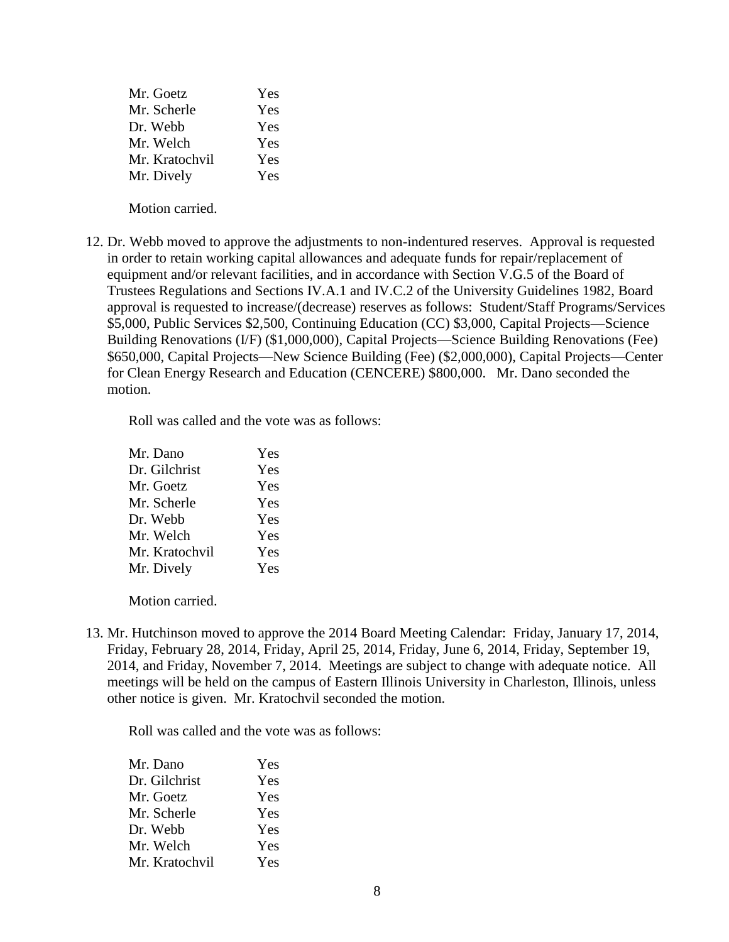| Mr. Goetz      | Yes |
|----------------|-----|
| Mr. Scherle    | Yes |
| Dr. Webb       | Yes |
| Mr. Welch      | Yes |
| Mr. Kratochvil | Yes |
| Mr. Dively     | Yes |

Motion carried.

12. Dr. Webb moved to approve the adjustments to non-indentured reserves. Approval is requested in order to retain working capital allowances and adequate funds for repair/replacement of equipment and/or relevant facilities, and in accordance with Section V.G.5 of the Board of Trustees Regulations and Sections IV.A.1 and IV.C.2 of the University Guidelines 1982, Board approval is requested to increase/(decrease) reserves as follows: Student/Staff Programs/Services \$5,000, Public Services \$2,500, Continuing Education (CC) \$3,000, Capital Projects—Science Building Renovations (I/F) (\$1,000,000), Capital Projects—Science Building Renovations (Fee) \$650,000, Capital Projects—New Science Building (Fee) (\$2,000,000), Capital Projects—Center for Clean Energy Research and Education (CENCERE) \$800,000. Mr. Dano seconded the motion.

Roll was called and the vote was as follows:

| Mr. Dano       | Yes |
|----------------|-----|
| Dr. Gilchrist  | Yes |
| Mr. Goetz      | Yes |
| Mr. Scherle    | Yes |
| Dr. Webb       | Yes |
| Mr. Welch      | Yes |
| Mr. Kratochvil | Yes |
| Mr. Dively     | Yes |

Motion carried.

13. Mr. Hutchinson moved to approve the 2014 Board Meeting Calendar: Friday, January 17, 2014, Friday, February 28, 2014, Friday, April 25, 2014, Friday, June 6, 2014, Friday, September 19, 2014, and Friday, November 7, 2014. Meetings are subject to change with adequate notice. All meetings will be held on the campus of Eastern Illinois University in Charleston, Illinois, unless other notice is given. Mr. Kratochvil seconded the motion.

| Mr. Dano       | Yes |
|----------------|-----|
| Dr. Gilchrist  | Yes |
| Mr. Goetz      | Yes |
| Mr. Scherle    | Yes |
| Dr. Webb       | Yes |
| Mr. Welch      | Yes |
| Mr. Kratochvil | Yes |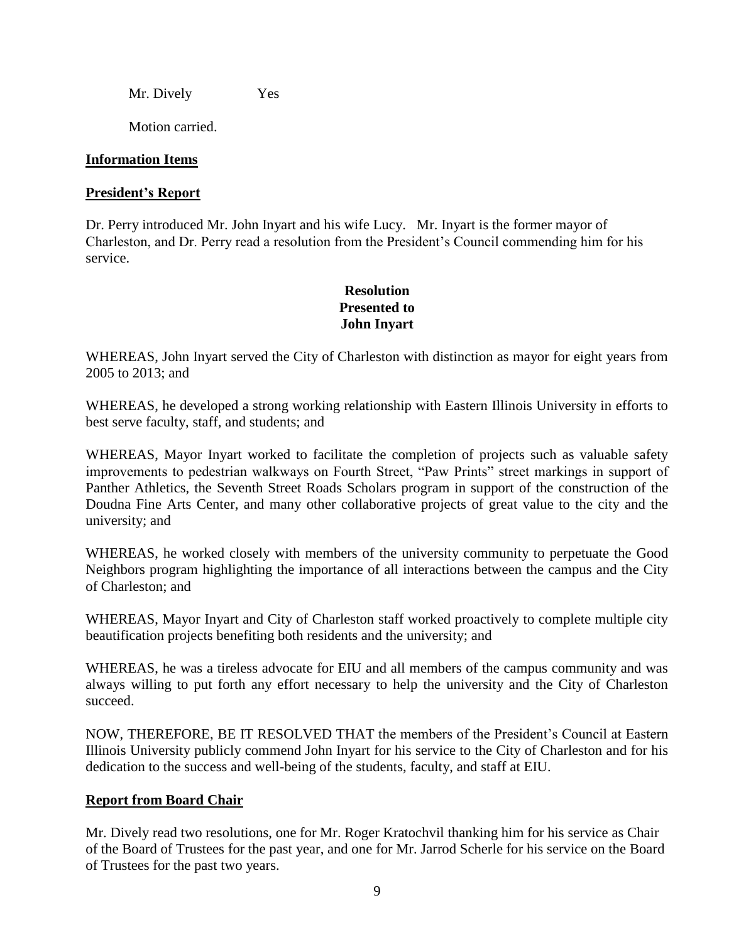Mr. Dively Yes

Motion carried.

# **Information Items**

### **President's Report**

Dr. Perry introduced Mr. John Inyart and his wife Lucy. Mr. Inyart is the former mayor of Charleston, and Dr. Perry read a resolution from the President's Council commending him for his service.

# **Resolution Presented to John Inyart**

WHEREAS, John Inyart served the City of Charleston with distinction as mayor for eight years from 2005 to 2013; and

WHEREAS, he developed a strong working relationship with Eastern Illinois University in efforts to best serve faculty, staff, and students; and

WHEREAS, Mayor Inyart worked to facilitate the completion of projects such as valuable safety improvements to pedestrian walkways on Fourth Street, "Paw Prints" street markings in support of Panther Athletics, the Seventh Street Roads Scholars program in support of the construction of the Doudna Fine Arts Center, and many other collaborative projects of great value to the city and the university; and

WHEREAS, he worked closely with members of the university community to perpetuate the Good Neighbors program highlighting the importance of all interactions between the campus and the City of Charleston; and

WHEREAS, Mayor Inyart and City of Charleston staff worked proactively to complete multiple city beautification projects benefiting both residents and the university; and

WHEREAS, he was a tireless advocate for EIU and all members of the campus community and was always willing to put forth any effort necessary to help the university and the City of Charleston succeed.

NOW, THEREFORE, BE IT RESOLVED THAT the members of the President's Council at Eastern Illinois University publicly commend John Inyart for his service to the City of Charleston and for his dedication to the success and well-being of the students, faculty, and staff at EIU.

# **Report from Board Chair**

Mr. Dively read two resolutions, one for Mr. Roger Kratochvil thanking him for his service as Chair of the Board of Trustees for the past year, and one for Mr. Jarrod Scherle for his service on the Board of Trustees for the past two years.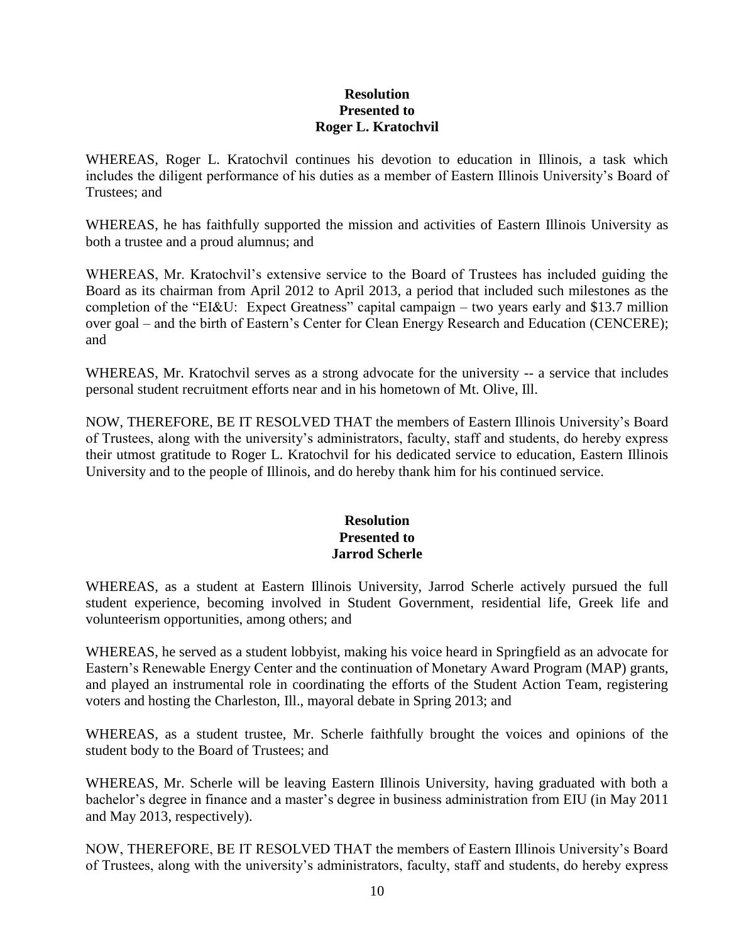### **Resolution Presented to Roger L. Kratochvil**

WHEREAS, Roger L. Kratochvil continues his devotion to education in Illinois, a task which includes the diligent performance of his duties as a member of Eastern Illinois University's Board of Trustees; and

WHEREAS, he has faithfully supported the mission and activities of Eastern Illinois University as both a trustee and a proud alumnus; and

WHEREAS, Mr. Kratochvil's extensive service to the Board of Trustees has included guiding the Board as its chairman from April 2012 to April 2013, a period that included such milestones as the completion of the "EI&U: Expect Greatness" capital campaign – two years early and \$13.7 million over goal – and the birth of Eastern's Center for Clean Energy Research and Education (CENCERE); and

WHEREAS, Mr. Kratochvil serves as a strong advocate for the university -- a service that includes personal student recruitment efforts near and in his hometown of Mt. Olive, Ill.

NOW, THEREFORE, BE IT RESOLVED THAT the members of Eastern Illinois University's Board of Trustees, along with the university's administrators, faculty, staff and students, do hereby express their utmost gratitude to Roger L. Kratochvil for his dedicated service to education, Eastern Illinois University and to the people of Illinois, and do hereby thank him for his continued service.

# **Resolution Presented to Jarrod Scherle**

WHEREAS, as a student at Eastern Illinois University, Jarrod Scherle actively pursued the full student experience, becoming involved in Student Government, residential life, Greek life and volunteerism opportunities, among others; and

WHEREAS, he served as a student lobbyist, making his voice heard in Springfield as an advocate for Eastern's Renewable Energy Center and the continuation of Monetary Award Program (MAP) grants, and played an instrumental role in coordinating the efforts of the Student Action Team, registering voters and hosting the Charleston, Ill., mayoral debate in Spring 2013; and

WHEREAS, as a student trustee, Mr. Scherle faithfully brought the voices and opinions of the student body to the Board of Trustees; and

WHEREAS, Mr. Scherle will be leaving Eastern Illinois University, having graduated with both a bachelor's degree in finance and a master's degree in business administration from EIU (in May 2011 and May 2013, respectively).

NOW, THEREFORE, BE IT RESOLVED THAT the members of Eastern Illinois University's Board of Trustees, along with the university's administrators, faculty, staff and students, do hereby express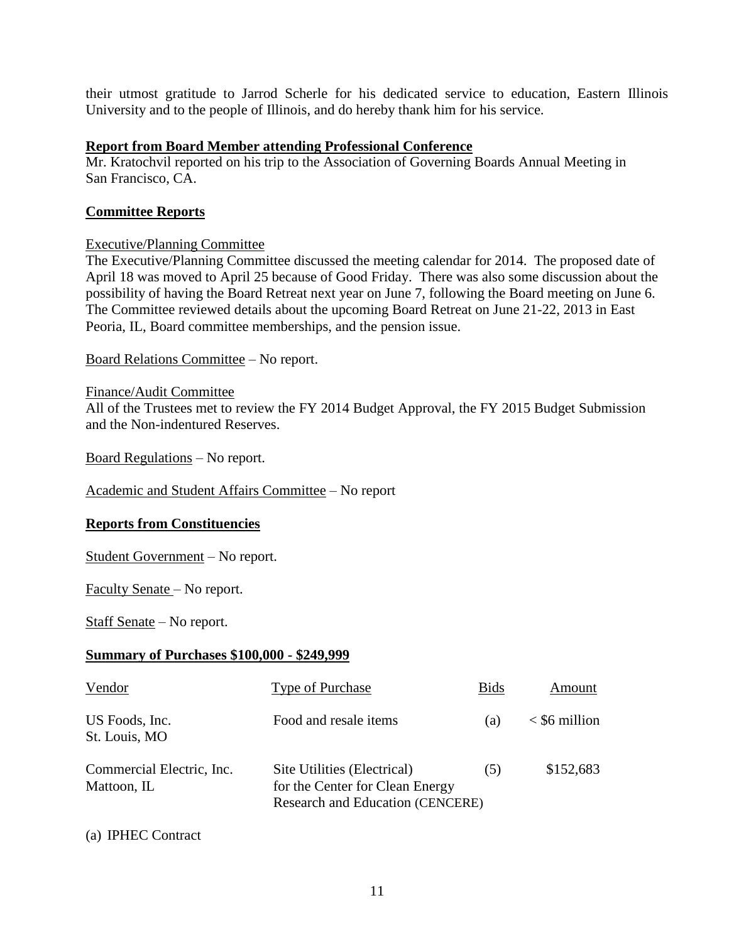their utmost gratitude to Jarrod Scherle for his dedicated service to education, Eastern Illinois University and to the people of Illinois, and do hereby thank him for his service.

### **Report from Board Member attending Professional Conference**

Mr. Kratochvil reported on his trip to the Association of Governing Boards Annual Meeting in San Francisco, CA.

### **Committee Reports**

### Executive/Planning Committee

The Executive/Planning Committee discussed the meeting calendar for 2014. The proposed date of April 18 was moved to April 25 because of Good Friday. There was also some discussion about the possibility of having the Board Retreat next year on June 7, following the Board meeting on June 6. The Committee reviewed details about the upcoming Board Retreat on June 21-22, 2013 in East Peoria, IL, Board committee memberships, and the pension issue.

Board Relations Committee – No report.

### Finance/Audit Committee

All of the Trustees met to review the FY 2014 Budget Approval, the FY 2015 Budget Submission and the Non-indentured Reserves.

Board Regulations – No report.

Academic and Student Affairs Committee – No report

# **Reports from Constituencies**

Student Government – No report.

Faculty Senate – No report.

Staff Senate – No report.

# **Summary of Purchases \$100,000 - \$249,999**

| Vendor                                   | <b>Type of Purchase</b>                                                                            | <b>Bids</b> | Amount            |
|------------------------------------------|----------------------------------------------------------------------------------------------------|-------------|-------------------|
| US Foods, Inc.<br>St. Louis, MO          | Food and resale items                                                                              | (a)         | $\le$ \$6 million |
| Commercial Electric, Inc.<br>Mattoon, IL | Site Utilities (Electrical)<br>for the Center for Clean Energy<br>Research and Education (CENCERE) | (5)         | \$152,683         |

(a) IPHEC Contract